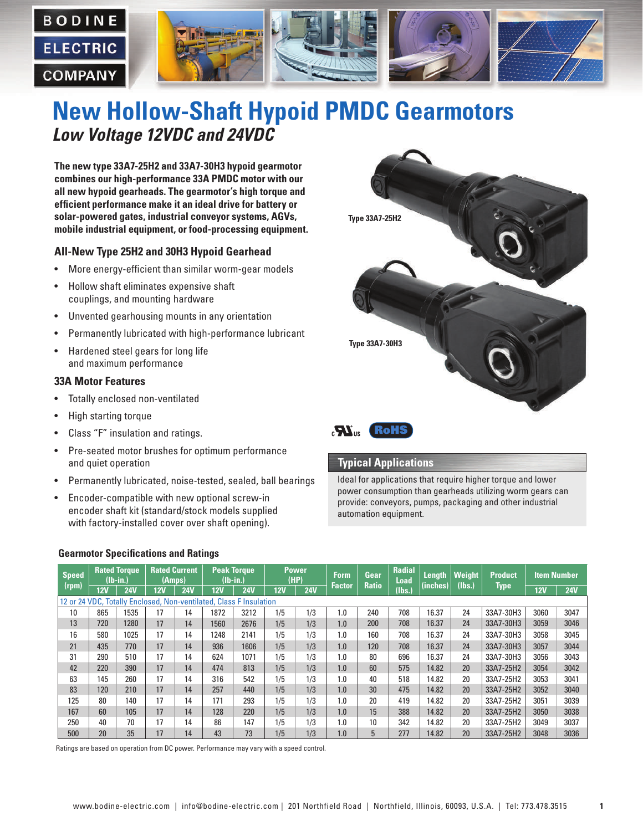

# **New Hollow-Shaft Hypoid PMDC Gearmotors** *Low Voltage 12VDC and 24VDC*

**The new type 33A7-25H2 and 33A7-30H3 hypoid gearmotor combines our high-performance 33A PMDC motor with our all new hypoid gearheads. The gearmotor's high torque and efficient performance make it an ideal drive for battery or solar-powered gates, industrial conveyor systems, AGVs, mobile industrial equipment, or food-processing equipment.**

#### **All-New Type 25H2 and 30H3 Hypoid Gearhead**

- More energy-efficient than similar worm-gear models
- Hollow shaft eliminates expensive shaft couplings, and mounting hardware
- Unvented gearhousing mounts in any orientation
- Permanently lubricated with high-performance lubricant
- Hardened steel gears for long life and maximum performance

#### **33A Motor Features**

- Totally enclosed non-ventilated
- High starting torque
- Class "F" insulation and ratings.
- Pre-seated motor brushes for optimum performance and quiet operation
- Permanently lubricated, noise-tested, sealed, ball bearings
- Encoder-compatible with new optional screw-in encoder shaft kit (standard/stock models supplied with factory-installed cover over shaft opening).



#### **Typical Applications**

Ideal for applications that require higher torque and lower power consumption than gearheads utilizing worm gears can provide: conveyors, pumps, packaging and other industrial automation equipment.

#### **Gearmotor Specifications and Ratings**

| <b>Speed</b><br>(rpm)                                              | <b>Rated Torque</b><br>$(Ib-in.)$ |            | <b>Rated Current</b><br>(Amps) |            | <b>Peak Torque</b><br>$(Ib-in.)$ |            | <b>Power</b><br>(HP) |            | <b>Form</b>   | Gear         | <b>Radial</b><br>Load | Length   | <b>Weight</b> | <b>Product</b> | <b>Item Number</b> |            |
|--------------------------------------------------------------------|-----------------------------------|------------|--------------------------------|------------|----------------------------------|------------|----------------------|------------|---------------|--------------|-----------------------|----------|---------------|----------------|--------------------|------------|
|                                                                    | 12V                               | <b>24V</b> | 12V                            | <b>24V</b> | 12V                              | <b>24V</b> | 12V                  | <b>24V</b> | <b>Factor</b> | <b>Ratio</b> | (Ibs.)                | (inches) | (lbs.)        | Type           | 12V                | <b>24V</b> |
| 12 or 24 VDC. Totally Enclosed, Non-ventilated, Class F Insulation |                                   |            |                                |            |                                  |            |                      |            |               |              |                       |          |               |                |                    |            |
| 10                                                                 | 865                               | 1535       | 17                             | 14         | 1872                             | 3212       | 1/5                  | 1/3        | 1.0           | 240          | 708                   | 16.37    | 24            | 33A7-30H3      | 3060               | 3047       |
| 13                                                                 | 720                               | 1280       | 17                             | 14         | 1560                             | 2676       | 1/5                  | 1/3        | 1.0           | 200          | 708                   | 16.37    | 24            | 33A7-30H3      | 3059               | 3046       |
| 16                                                                 | 580                               | 1025       | 17                             | 14         | 1248                             | 2141       | 1/5                  | 1/3        | 1.0           | 160          | 708                   | 16.37    | 24            | 33A7-30H3      | 3058               | 3045       |
| 21                                                                 | 435                               | 770        | 17                             | 14         | 936                              | 1606       | 1/5                  | 1/3        | 1.0           | 120          | 708                   | 16.37    | 24            | 33A7-30H3      | 3057               | 3044       |
| 31                                                                 | 290                               | 510        | 17                             | 14         | 624                              | 1071       | 1/5                  | 1/3        | 1.0           | 80           | 696                   | 16.37    | 24            | 33A7-30H3      | 3056               | 3043       |
| 42                                                                 | 220                               | 390        | 17                             | 14         | 474                              | 813        | 1/5                  | 1/3        | 1.0           | 60           | 575                   | 14.82    | 20            | 33A7-25H2      | 3054               | 3042       |
| 63                                                                 | 145                               | 260        | 17                             | 14         | 316                              | 542        | 1/5                  | 1/3        | 1.0           | 40           | 518                   | 14.82    | 20            | 33A7-25H2      | 3053               | 3041       |
| 83                                                                 | 120                               | 210        | 17                             | 14         | 257                              | 440        | 1/5                  | 1/3        | 1.0           | 30           | 475                   | 14.82    | 20            | 33A7-25H2      | 3052               | 3040       |
| 125                                                                | 80                                | 140        | 17                             | 14         | 171                              | 293        | 1/5                  | 1/3        | 1.0           | 20           | 419                   | 14.82    | 20            | 33A7-25H2      | 3051               | 3039       |
| 167                                                                | 60                                | 105        | 17                             | 14         | 128                              | 220        | 1/5                  | 1/3        | 1.0           | 15           | 388                   | 14.82    | 20            | 33A7-25H2      | 3050               | 3038       |
| 250                                                                | 40                                | 70         | 17                             | 14         | 86                               | 147        | 1/5                  | 1/3        | 1.0           | 10           | 342                   | 14.82    | 20            | 33A7-25H2      | 3049               | 3037       |
| 500                                                                | 20                                | 35         | 17                             | 14         | 43                               | 73         | 1/5                  | 1/3        | 1.0           | 5            | 277                   | 14.82    | 20            | 33A7-25H2      | 3048               | 3036       |

Ratings are based on operation from DC power. Performance may vary with a speed control.